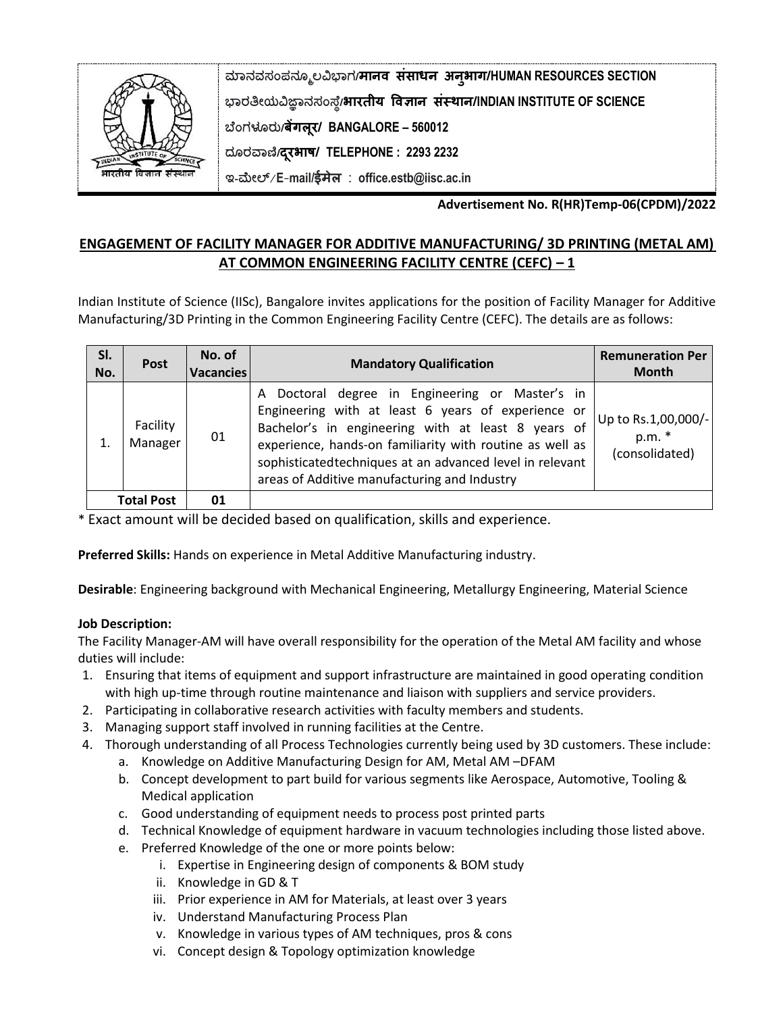

**ಮಾನವಸಂಪನಮೂಲವಿಭಾಗ/मानव संसाधन अनुभाग/HUMAN RESOURCES SECTION ಭಾರತೀಯವಿಜ್ಞಾನಸಂಸ್ಥೆ/भारतीय ववज्ञान संस्थान/INDIAN INSTITUTE OF SCIENCE ಬಥಂಗಳೂರು/बेंगलूर/ BANGALORE – 560012 ದಮರವಾಣಿ/दरूभाष/ TELEPHONE : 2293 2232** 

**ಇ-ಮೀಲ್**/**E**-**mail/ईमेल** : **office.estb@iisc.ac.in**

**Advertisement No. R(HR)Temp-06(CPDM)/2022**

## **ENGAGEMENT OF FACILITY MANAGER FOR ADDITIVE MANUFACTURING/ 3D PRINTING (METAL AM) AT COMMON ENGINEERING FACILITY CENTRE (CEFC) – 1**

Indian Institute of Science (IISc), Bangalore invites applications for the position of Facility Manager for Additive Manufacturing/3D Printing in the Common Engineering Facility Centre (CEFC). The details are as follows:

| SI.<br>No.              | <b>Post</b>         | No. of<br><b>Vacancies</b> | <b>Mandatory Qualification</b>                                                                                                                                                                                                                                                                                                       | <b>Remuneration Per</b><br><b>Month</b>         |
|-------------------------|---------------------|----------------------------|--------------------------------------------------------------------------------------------------------------------------------------------------------------------------------------------------------------------------------------------------------------------------------------------------------------------------------------|-------------------------------------------------|
|                         | Facility<br>Manager | 01                         | A Doctoral degree in Engineering or Master's in<br>Engineering with at least 6 years of experience or<br>Bachelor's in engineering with at least 8 years of<br>experience, hands-on familiarity with routine as well as<br>sophisticated techniques at an advanced level in relevant<br>areas of Additive manufacturing and Industry | Up to Rs.1,00,000/-<br>p.m. *<br>(consolidated) |
| <b>Total Post</b><br>01 |                     |                            |                                                                                                                                                                                                                                                                                                                                      |                                                 |

\* Exact amount will be decided based on qualification, skills and experience.

**Preferred Skills:** Hands on experience in Metal Additive Manufacturing industry.

**Desirable**: Engineering background with Mechanical Engineering, Metallurgy Engineering, Material Science

## **Job Description:**

The Facility Manager-AM will have overall responsibility for the operation of the Metal AM facility and whose duties will include:

- 1. Ensuring that items of equipment and support infrastructure are maintained in good operating condition with high up-time through routine maintenance and liaison with suppliers and service providers.
- 2. Participating in collaborative research activities with faculty members and students.
- 3. Managing support staff involved in running facilities at the Centre.
- 4. Thorough understanding of all Process Technologies currently being used by 3D customers. These include:
	- a. Knowledge on Additive Manufacturing Design for AM, Metal AM –DFAM
	- b. Concept development to part build for various segments like Aerospace, Automotive, Tooling & Medical application
	- c. Good understanding of equipment needs to process post printed parts
	- d. Technical Knowledge of equipment hardware in vacuum technologies including those listed above.
	- e. Preferred Knowledge of the one or more points below:
		- i. Expertise in Engineering design of components & BOM study
		- ii. Knowledge in GD & T
		- iii. Prior experience in AM for Materials, at least over 3 years
		- iv. Understand Manufacturing Process Plan
		- v. Knowledge in various types of AM techniques, pros & cons
		- vi. Concept design & Topology optimization knowledge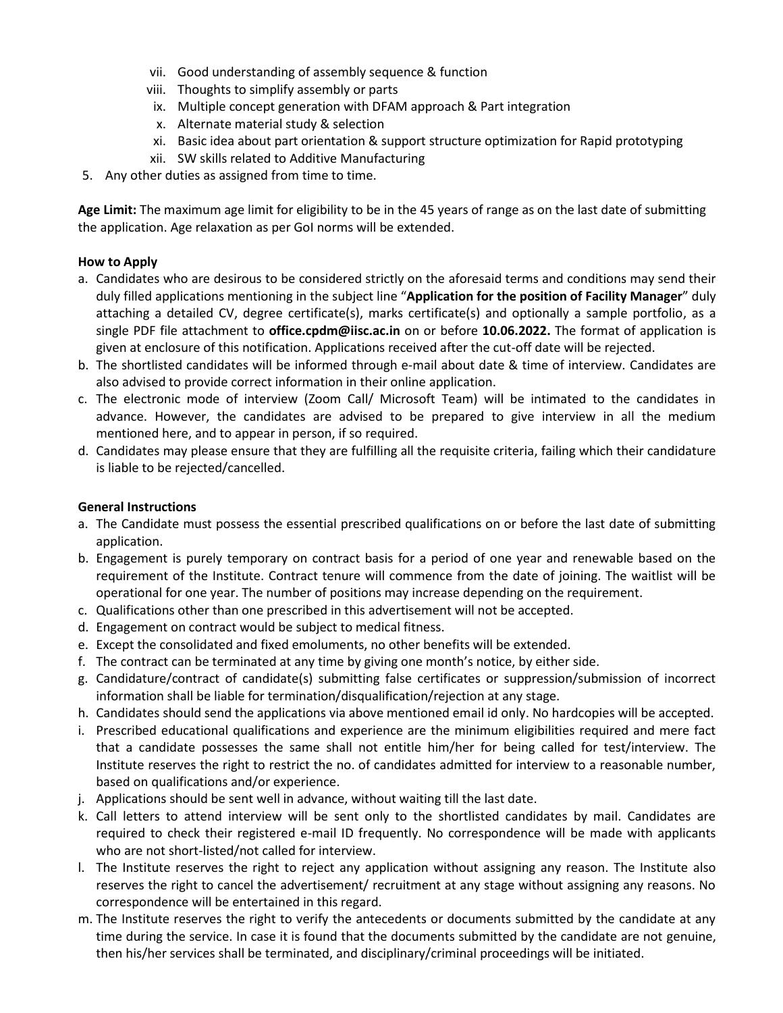- vii. Good understanding of assembly sequence & function
- viii. Thoughts to simplify assembly or parts
- ix. Multiple concept generation with DFAM approach & Part integration
- x. Alternate material study & selection
- xi. Basic idea about part orientation & support structure optimization for Rapid prototyping
- xii. SW skills related to Additive Manufacturing
- 5. Any other duties as assigned from time to time.

**Age Limit:** The maximum age limit for eligibility to be in the 45 years of range as on the last date of submitting the application. Age relaxation as per GoI norms will be extended.

## **How to Apply**

- a. Candidates who are desirous to be considered strictly on the aforesaid terms and conditions may send their duly filled applications mentioning in the subject line "**Application for the position of Facility Manager**" duly attaching a detailed CV, degree certificate(s), marks certificate(s) and optionally a sample portfolio, as a single PDF file attachment to **office.cpdm@iisc.ac.in** on or before **10.06.2022.** The format of application is given at enclosure of this notification. Applications received after the cut-off date will be rejected.
- b. The shortlisted candidates will be informed through e-mail about date & time of interview. Candidates are also advised to provide correct information in their online application.
- c. The electronic mode of interview (Zoom Call/ Microsoft Team) will be intimated to the candidates in advance. However, the candidates are advised to be prepared to give interview in all the medium mentioned here, and to appear in person, if so required.
- d. Candidates may please ensure that they are fulfilling all the requisite criteria, failing which their candidature is liable to be rejected/cancelled.

## **General Instructions**

- a. The Candidate must possess the essential prescribed qualifications on or before the last date of submitting application.
- b. Engagement is purely temporary on contract basis for a period of one year and renewable based on the requirement of the Institute. Contract tenure will commence from the date of joining. The waitlist will be operational for one year. The number of positions may increase depending on the requirement.
- c. Qualifications other than one prescribed in this advertisement will not be accepted.
- d. Engagement on contract would be subject to medical fitness.
- e. Except the consolidated and fixed emoluments, no other benefits will be extended.
- f. The contract can be terminated at any time by giving one month's notice, by either side.
- g. Candidature/contract of candidate(s) submitting false certificates or suppression/submission of incorrect information shall be liable for termination/disqualification/rejection at any stage.
- h. Candidates should send the applications via above mentioned email id only. No hardcopies will be accepted.
- i. Prescribed educational qualifications and experience are the minimum eligibilities required and mere fact that a candidate possesses the same shall not entitle him/her for being called for test/interview. The Institute reserves the right to restrict the no. of candidates admitted for interview to a reasonable number, based on qualifications and/or experience.
- j. Applications should be sent well in advance, without waiting till the last date.
- k. Call letters to attend interview will be sent only to the shortlisted candidates by mail. Candidates are required to check their registered e-mail ID frequently. No correspondence will be made with applicants who are not short-listed/not called for interview.
- l. The Institute reserves the right to reject any application without assigning any reason. The Institute also reserves the right to cancel the advertisement/ recruitment at any stage without assigning any reasons. No correspondence will be entertained in this regard.
- m. The Institute reserves the right to verify the antecedents or documents submitted by the candidate at any time during the service. In case it is found that the documents submitted by the candidate are not genuine, then his/her services shall be terminated, and disciplinary/criminal proceedings will be initiated.